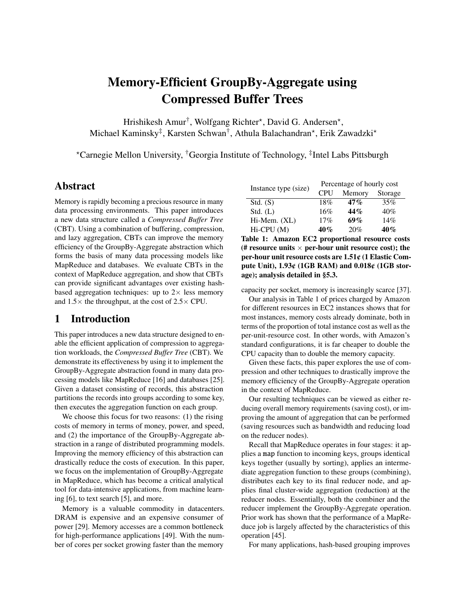# Memory-Efficient GroupBy-Aggregate using Compressed Buffer Trees

Hrishikesh Amur<sup>†</sup>, Wolfgang Richter\*, David G. Andersen\*, Michael Kaminsky<sup>‡</sup>, Karsten Schwan<sup>†</sup>, Athula Balachandran\*, Erik Zawadzki\*

\*Carnegie Mellon University, <sup>†</sup>Georgia Institute of Technology, <sup>‡</sup>Intel Labs Pittsburgh

# Abstract

Memory is rapidly becoming a precious resource in many data processing environments. This paper introduces a new data structure called a *Compressed Buffer Tree* (CBT). Using a combination of buffering, compression, and lazy aggregation, CBTs can improve the memory efficiency of the GroupBy-Aggregate abstraction which forms the basis of many data processing models like MapReduce and databases. We evaluate CBTs in the context of MapReduce aggregation, and show that CBTs can provide significant advantages over existing hashbased aggregation techniques: up to  $2 \times$  less memory and  $1.5\times$  the throughput, at the cost of  $2.5\times$  CPU.

# 1 Introduction

This paper introduces a new data structure designed to enable the efficient application of compression to aggregation workloads, the *Compressed Buffer Tree* (CBT). We demonstrate its effectiveness by using it to implement the GroupBy-Aggregate abstraction found in many data processing models like MapReduce [\[16\]](#page-12-0) and databases [\[25\]](#page-12-1). Given a dataset consisting of records, this abstraction partitions the records into groups according to some key, then executes the aggregation function on each group.

We choose this focus for two reasons: (1) the rising costs of memory in terms of money, power, and speed, and (2) the importance of the GroupBy-Aggregate abstraction in a range of distributed programming models. Improving the memory efficiency of this abstraction can drastically reduce the costs of execution. In this paper, we focus on the implementation of GroupBy-Aggregate in MapReduce, which has become a critical analytical tool for data-intensive applications, from machine learning [\[6\]](#page-12-2), to text search [\[5\]](#page-12-3), and more.

Memory is a valuable commodity in datacenters. DRAM is expensive and an expensive consumer of power [\[29\]](#page-13-0). Memory accesses are a common bottleneck for high-performance applications [\[49\]](#page-13-1). With the number of cores per socket growing faster than the memory

<span id="page-0-0"></span>

| Instance type (size) | Percentage of hourly cost |        |         |  |
|----------------------|---------------------------|--------|---------|--|
|                      | <b>CPU</b>                | Memory | Storage |  |
| Std. (S)             | 18%                       | 47%    | 35%     |  |
| Std. (L)             | 16%                       | 44%    | 40%     |  |
| Hi-Mem. (XL)         | 17%                       | 69%    | 14%     |  |
| Hi-CPU (M)           | 40%                       | 20%    | 40%     |  |

Table 1: Amazon EC2 proportional resource costs (# resource units  $\times$  per-hour unit resource cost); the per-hour unit resource costs are 1.51¢ (1 Elastic Compute Unit), 1.93¢ (1GB RAM) and 0.018¢ (1GB storage); analysis detailed in [§5.3.](#page-10-0)

capacity per socket, memory is increasingly scarce [\[37\]](#page-13-2).

Our analysis in Table [1](#page-0-0) of prices charged by Amazon for different resources in EC2 instances shows that for most instances, memory costs already dominate, both in terms of the proportion of total instance cost as well as the per-unit-resource cost. In other words, with Amazon's standard configurations, it is far cheaper to double the CPU capacity than to double the memory capacity.

Given these facts, this paper explores the use of compression and other techniques to drastically improve the memory efficiency of the GroupBy-Aggregate operation in the context of MapReduce.

Our resulting techniques can be viewed as either reducing overall memory requirements (saving cost), or improving the amount of aggregation that can be performed (saving resources such as bandwidth and reducing load on the reducer nodes).

Recall that MapReduce operates in four stages: it applies a map function to incoming keys, groups identical keys together (usually by sorting), applies an intermediate aggregation function to these groups (combining), distributes each key to its final reducer node, and applies final cluster-wide aggregation (reduction) at the reducer nodes. Essentially, both the combiner and the reducer implement the GroupBy-Aggregate operation. Prior work has shown that the performance of a MapReduce job is largely affected by the characteristics of this operation [\[45\]](#page-13-3).

For many applications, hash-based grouping improves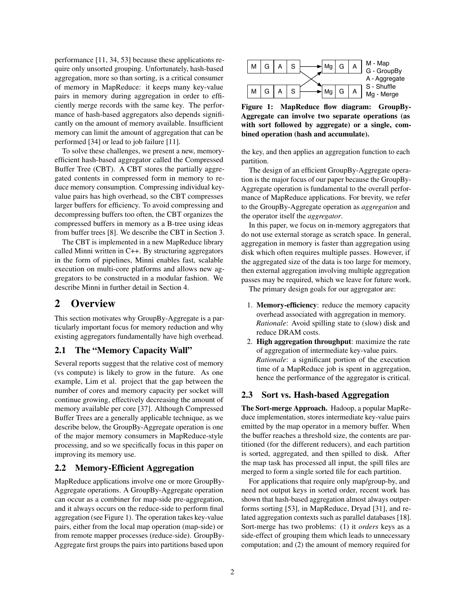performance [\[11,](#page-12-4) [34,](#page-13-4) [53\]](#page-14-0) because these applications require only unsorted grouping. Unfortunately, hash-based aggregation, more so than sorting, is a critical consumer of memory in MapReduce: it keeps many key-value pairs in memory during aggregation in order to efficiently merge records with the same key. The performance of hash-based aggregators also depends significantly on the amount of memory available. Insufficient memory can limit the amount of aggregation that can be performed [\[34\]](#page-13-4) or lead to job failure [\[11\]](#page-12-4).

To solve these challenges, we present a new, memoryefficient hash-based aggregator called the Compressed Buffer Tree (CBT). A CBT stores the partially aggregated contents in compressed form in memory to reduce memory consumption. Compressing individual keyvalue pairs has high overhead, so the CBT compresses larger buffers for efficiency. To avoid compressing and decompressing buffers too often, the CBT organizes the compressed buffers in memory as a B-tree using ideas from buffer trees [\[8\]](#page-12-5). We describe the CBT in Section [3.](#page-3-0)

The CBT is implemented in a new MapReduce library called Minni written in C++. By structuring aggregators in the form of pipelines, Minni enables fast, scalable execution on multi-core platforms and allows new aggregators to be constructed in a modular fashion. We describe Minni in further detail in Section [4.](#page-5-0)

# 2 Overview

This section motivates why GroupBy-Aggregate is a particularly important focus for memory reduction and why existing aggregators fundamentally have high overhead.

# 2.1 The "Memory Capacity Wall"

Several reports suggest that the relative cost of memory (vs compute) is likely to grow in the future. As one example, Lim et al. project that the gap between the number of cores and memory capacity per socket will continue growing, effectively decreasing the amount of memory available per core [\[37\]](#page-13-2). Although Compressed Buffer Trees are a generally applicable technique, as we describe below, the GroupBy-Aggregate operation is one of the major memory consumers in MapReduce-style processing, and so we specifically focus in this paper on improving its memory use. quice only the first groups the first groups the states of the pairs in the first groups the pairs and particular contents in the pairs in the pairs in the pairs in the pairs in the pairs in the pairs in the pairs in the

### 2.2 Memory-Efficient Aggregation

MapReduce applications involve one or more GroupBy-Aggregate operations. A GroupBy-Aggregate operation can occur as a combiner for map-side pre-aggregation, and it always occurs on the reduce-side to perform final aggregation (see Figure [1\)](#page-1-0). The operation takes key-value pairs, either from the local map operation (map-side) or from remote mapper processes (reduce-side). GroupBy-

<span id="page-1-0"></span>

Figure 1: MapReduce flow diagram: GroupBy-Aggregate can involve two separate operations (as with sort followed by aggregate) or a single, combined operation (hash and accumulate).

the key, and then applies an aggregation function to each partition.

The design of an efficient GroupBy-Aggregate operation is the major focus of our paper because the GroupBy-Aggregate operation is fundamental to the overall performance of MapReduce applications. For brevity, we refer to the GroupBy-Aggregate operation as *aggregation* and the operator itself the *aggregator*.

In this paper, we focus on in-memory aggregators that do not use external storage as scratch space. In general, aggregation in memory is faster than aggregation using disk which often requires multiple passes. However, if the aggregated size of the data is too large for memory, then external aggregation involving multiple aggregation passes may be required, which we leave for future work.

The primary design goals for our aggregator are:

- 1. Memory-efficiency: reduce the memory capacity overhead associated with aggregation in memory. *Rationale*: Avoid spilling state to (slow) disk and reduce DRAM costs.
- 2. High aggregation throughput: maximize the rate of aggregation of intermediate key-value pairs. *Rationale*: a significant portion of the execution time of a MapReduce job is spent in aggregation, hence the performance of the aggregator is critical.

# 2.3 Sort vs. Hash-based Aggregation

The Sort-merge Approach. Hadoop, a popular MapReduce implementation, stores intermediate key-value pairs emitted by the map operator in a memory buffer. When the buffer reaches a threshold size, the contents are partitioned (for the different reducers), and each partition is sorted, aggregated, and then spilled to disk. After the map task has processed all input, the spill files are merged to form a single sorted file for each partition.

For applications that require only map/group-by, and need not output keys in sorted order, recent work has shown that hash-based aggregation almost always outperforms sorting [\[53\]](#page-14-0), in MapReduce, Dryad [\[31\]](#page-13-5), and related aggregation contexts such as parallel databases [\[18\]](#page-12-6). Sort-merge has two problems: (1) it *orders* keys as a side-effect of grouping them which leads to unnecessary computation; and (2) the amount of memory required for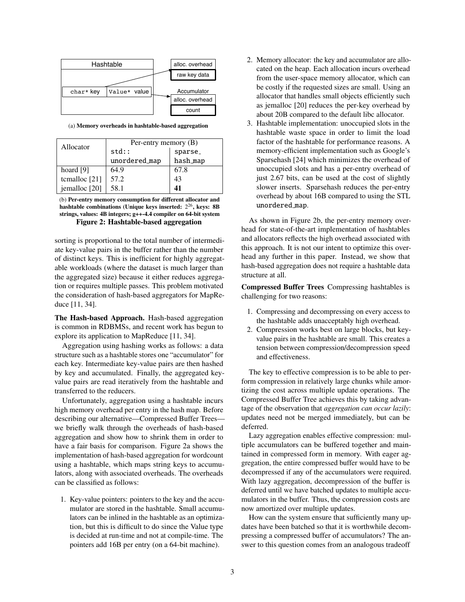<span id="page-2-0"></span>

(a) Memory overheads in hashtable-based aggregation

<span id="page-2-1"></span>

| Allocator       | Per-entry memory (B) |          |  |  |
|-----------------|----------------------|----------|--|--|
|                 | $std:$ :             | sparse_  |  |  |
|                 | unordered_map        | hash_map |  |  |
| hoard $[9]$     | 64.9                 | 67.8     |  |  |
| temalloc $[21]$ | 57.2                 | 43       |  |  |
| jemalloc [20]   | 58.1                 |          |  |  |

(b) Per-entry memory consumption for different allocator and hashtable combinations (Unique keys inserted:  $2^{26}$ , keys: 8B strings, values: 4B integers; g++-4.4 compiler on 64-bit system Figure 2: Hashtable-based aggregation

sorting is proportional to the total number of intermediate key-value pairs in the buffer rather than the number of distinct keys. This is inefficient for highly aggregatable workloads (where the dataset is much larger than the aggregated size) because it either reduces aggregation or requires multiple passes. This problem motivated the consideration of hash-based aggregators for MapReduce [\[11,](#page-12-4) [34\]](#page-13-4).

The Hash-based Approach. Hash-based aggregation is common in RDBMSs, and recent work has begun to explore its application to MapReduce [\[11,](#page-12-4) [34\]](#page-13-4).

Aggregation using hashing works as follows: a data structure such as a hashtable stores one "accumulator" for each key. Intermediate key-value pairs are then hashed by key and accumulated. Finally, the aggregated keyvalue pairs are read iteratively from the hashtable and transferred to the reducers.

Unfortunately, aggregation using a hashtable incurs high memory overhead per entry in the hash map. Before describing our alternative—Compressed Buffer Trees we briefly walk through the overheads of hash-based aggregation and show how to shrink them in order to have a fair basis for comparison. Figure [2a](#page-2-0) shows the implementation of hash-based aggregation for wordcount using a hashtable, which maps string keys to accumulators, along with associated overheads. The overheads can be classified as follows:

1. Key-value pointers: pointers to the key and the accumulator are stored in the hashtable. Small accumulators can be inlined in the hashtable as an optimization, but this is difficult to do since the Value type is decided at run-time and not at compile-time. The pointers add 16B per entry (on a 64-bit machine).

- 2. Memory allocator: the key and accumulator are allocated on the heap. Each allocation incurs overhead from the user-space memory allocator, which can be costly if the requested sizes are small. Using an allocator that handles small objects efficiently such as jemalloc [\[20\]](#page-12-9) reduces the per-key overhead by about 20B compared to the default libc allocator.
- 3. Hashtable implementation: unoccupied slots in the hashtable waste space in order to limit the load factor of the hashtable for performance reasons. A memory-efficient implementation such as Google's Sparsehash [\[24\]](#page-12-10) which minimizes the overhead of unoccupied slots and has a per-entry overhead of just 2.67 bits, can be used at the cost of slightly slower inserts. Sparsehash reduces the per-entry overhead by about 16B compared to using the STL unordered map.

As shown in Figure [2b,](#page-2-1) the per-entry memory overhead for state-of-the-art implementation of hashtables and allocators reflects the high overhead associated with this approach. It is not our intent to optimize this overhead any further in this paper. Instead, we show that hash-based aggregation does not require a hashtable data structure at all.

Compressed Buffer Trees Compressing hashtables is challenging for two reasons:

- 1. Compressing and decompressing on every access to the hashtable adds unacceptably high overhead.
- 2. Compression works best on large blocks, but keyvalue pairs in the hashtable are small. This creates a tension between compression/decompression speed and effectiveness.

The key to effective compression is to be able to perform compression in relatively large chunks while amortizing the cost across multiple update operations. The Compressed Buffer Tree achieves this by taking advantage of the observation that *aggregation can occur lazily*: updates need not be merged immediately, but can be deferred.

Lazy aggregation enables effective compression: multiple accumulators can be buffered together and maintained in compressed form in memory. With eager aggregation, the entire compressed buffer would have to be decompressed if any of the accumulators were required. With lazy aggregation, decompression of the buffer is deferred until we have batched updates to multiple accumulators in the buffer. Thus, the compression costs are now amortized over multiple updates.

How can the system ensure that sufficiently many updates have been batched so that it is worthwhile decompressing a compressed buffer of accumulators? The answer to this question comes from an analogous tradeoff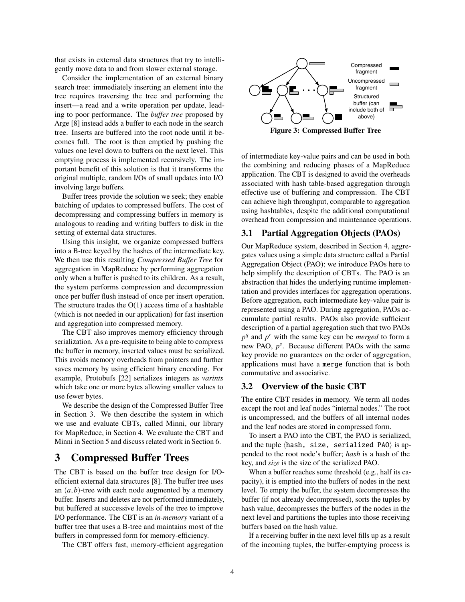that exists in external data structures that try to intelligently move data to and from slower external storage.

Consider the implementation of an external binary search tree: immediately inserting an element into the tree requires traversing the tree and performing the insert—a read and a write operation per update, leading to poor performance. The *buffer tree* proposed by Arge [\[8\]](#page-12-5) instead adds a buffer to each node in the search tree. Inserts are buffered into the root node until it becomes full. The root is then emptied by pushing the values one level down to buffers on the next level. This emptying process is implemented recursively. The important benefit of this solution is that it transforms the original multiple, random I/Os of small updates into I/O involving large buffers.

Buffer trees provide the solution we seek; they enable batching of updates to compressed buffers. The cost of decompressing and compressing buffers in memory is analogous to reading and writing buffers to disk in the setting of external data structures.

Using this insight, we organize compressed buffers into a B-tree keyed by the hashes of the intermediate key. We then use this resulting *Compressed Buffer Tree* for aggregation in MapReduce by performing aggregation only when a buffer is pushed to its children. As a result, the system performs compression and decompression once per buffer flush instead of once per insert operation. The structure trades the  $O(1)$  access time of a hashtable (which is not needed in our application) for fast insertion and aggregation into compressed memory.

The CBT also improves memory efficiency through serialization. As a pre-requisite to being able to compress the buffer in memory, inserted values must be serialized. This avoids memory overheads from pointers and further saves memory by using efficient binary encoding. For example, Protobufs [\[22\]](#page-12-11) serializes integers as *varints* which take one or more bytes allowing smaller values to use fewer bytes.

We describe the design of the Compressed Buffer Tree in Section [3.](#page-3-0) We then describe the system in which we use and evaluate CBTs, called Minni, our library for MapReduce, in Section [4.](#page-5-0) We evaluate the CBT and Minni in Section [5](#page-6-0) and discuss related work in Section [6.](#page-10-1)

# <span id="page-3-0"></span>3 Compressed Buffer Trees

The CBT is based on the buffer tree design for I/Oefficient external data structures [\[8\]](#page-12-5). The buffer tree uses an  $(a, b)$ -tree with each node augmented by a memory buffer. Inserts and deletes are not performed immediately, but buffered at successive levels of the tree to improve I/O performance. The CBT is an *in-memory* variant of a buffer tree that uses a B-tree and maintains most of the buffers in compressed form for memory-efficiency.

The CBT offers fast, memory-efficient aggregation

<span id="page-3-1"></span>

Figure 3: Compressed Buffer Tree

of intermediate key-value pairs and can be used in both the combining and reducing phases of a MapReduce application. The CBT is designed to avoid the overheads associated with hash table-based aggregation through effective use of buffering and compression. The CBT can achieve high throughput, comparable to aggregation using hashtables, despite the additional computational overhead from compression and maintenance operations.

#### 3.1 Partial Aggregation Objects (PAOs)

Our MapReduce system, described in Section [4,](#page-5-0) aggregates values using a simple data structure called a Partial Aggregation Object (PAO); we introduce PAOs here to help simplify the description of CBTs. The PAO is an abstraction that hides the underlying runtime implementation and provides interfaces for aggregation operations. Before aggregation, each intermediate key-value pair is represented using a PAO. During aggregation, PAOs accumulate partial results. PAOs also provide sufficient description of a partial aggregation such that two PAOs  $p<sup>q</sup>$  and  $p<sup>r</sup>$  with the same key can be *merged* to form a new PAO, *p s* . Because different PAOs with the same key provide no guarantees on the order of aggregation, applications must have a merge function that is both commutative and associative.

#### 3.2 Overview of the basic CBT

The entire CBT resides in memory. We term all nodes except the root and leaf nodes "internal nodes." The root is uncompressed, and the buffers of all internal nodes and the leaf nodes are stored in compressed form.

To insert a PAO into the CBT, the PAO is serialized, and the tuple  $\langle$  hash, size, serialized PAO $\rangle$  is appended to the root node's buffer; *hash* is a hash of the key, and *size* is the size of the serialized PAO.

When a buffer reaches some threshold (e.g., half its capacity), it is emptied into the buffers of nodes in the next level. To empty the buffer, the system decompresses the buffer (if not already decompressed), sorts the tuples by hash value, decompresses the buffers of the nodes in the next level and partitions the tuples into those receiving buffers based on the hash value.

If a receiving buffer in the next level fills up as a result of the incoming tuples, the buffer-emptying process is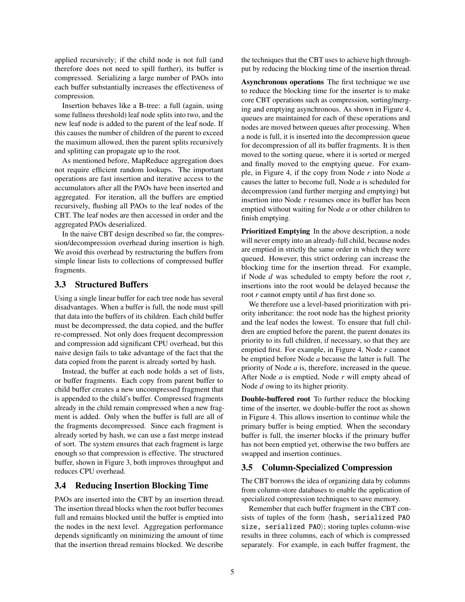applied recursively; if the child node is not full (and therefore does not need to spill further), its buffer is compressed. Serializing a large number of PAOs into each buffer substantially increases the effectiveness of compression.

Insertion behaves like a B-tree: a full (again, using some fullness threshold) leaf node splits into two, and the new leaf node is added to the parent of the leaf node. If this causes the number of children of the parent to exceed the maximum allowed, then the parent splits recursively and splitting can propagate up to the root.

As mentioned before, MapReduce aggregation does not require efficient random lookups. The important operations are fast insertion and iterative access to the accumulators after all the PAOs have been inserted and aggregated. For iteration, all the buffers are emptied recursively, flushing all PAOs to the leaf nodes of the CBT. The leaf nodes are then accessed in order and the aggregated PAOs deserialized.

In the naive CBT design described so far, the compression/decompression overhead during insertion is high. We avoid this overhead by restructuring the buffers from simple linear lists to collections of compressed buffer fragments.

## 3.3 Structured Buffers

Using a single linear buffer for each tree node has several disadvantages. When a buffer is full, the node must spill that data into the buffers of its children. Each child buffer must be decompressed, the data copied, and the buffer re-compressed. Not only does frequent decompression and compression add significant CPU overhead, but this naive design fails to take advantage of the fact that the data copied from the parent is already sorted by hash.

Instead, the buffer at each node holds a set of lists, or buffer fragments. Each copy from parent buffer to child buffer creates a new uncompressed fragment that is appended to the child's buffer. Compressed fragments already in the child remain compressed when a new fragment is added. Only when the buffer is full are all of the fragments decompressed. Since each fragment is already sorted by hash, we can use a fast merge instead of sort. The system ensures that each fragment is large enough so that compression is effective. The structured buffer, shown in Figure [3,](#page-3-1) both improves throughput and reduces CPU overhead.

# <span id="page-4-0"></span>3.4 Reducing Insertion Blocking Time

PAOs are inserted into the CBT by an insertion thread. The insertion thread blocks when the root buffer becomes full and remains blocked until the buffer is emptied into the nodes in the next level. Aggregation performance depends significantly on minimizing the amount of time that the insertion thread remains blocked. We describe

the techniques that the CBT uses to achieve high throughput by reducing the blocking time of the insertion thread.

Asynchronous operations The first technique we use to reduce the blocking time for the inserter is to make core CBT operations such as compression, sorting/merging and emptying asynchronous. As shown in Figure [4,](#page-5-1) queues are maintained for each of these operations and nodes are moved between queues after processing. When a node is full, it is inserted into the decompression queue for decompression of all its buffer fragments. It is then moved to the sorting queue, where it is sorted or merged and finally moved to the emptying queue. For example, in Figure [4,](#page-5-1) if the copy from Node *r* into Node *a* causes the latter to become full, Node *a* is scheduled for decompression (and further merging and emptying) but insertion into Node *r* resumes once its buffer has been emptied without waiting for Node *a* or other children to finish emptying.

Prioritized Emptying In the above description, a node will never empty into an already-full child, because nodes are emptied in strictly the same order in which they were queued. However, this strict ordering can increase the blocking time for the insertion thread. For example, if Node *d* was scheduled to empty before the root *r*, insertions into the root would be delayed because the root *r* cannot empty until *d* has first done so.

We therefore use a level-based prioritization with priority inheritance: the root node has the highest priority and the leaf nodes the lowest. To ensure that full children are emptied before the parent, the parent donates its priority to its full children, if necessary, so that they are emptied first. For example, in Figure [4,](#page-5-1) Node *r* cannot be emptied before Node *a* because the latter is full. The priority of Node *a* is, therefore, increased in the queue. After Node *a* is emptied, Node *r* will empty ahead of Node *d* owing to its higher priority.

Double-buffered root To further reduce the blocking time of the inserter, we double-buffer the root as shown in Figure [4.](#page-5-1) This allows insertion to continue while the primary buffer is being emptied. When the secondary buffer is full, the inserter blocks if the primary buffer has not been emptied yet, otherwise the two buffers are swapped and insertion continues.

# <span id="page-4-1"></span>3.5 Column-Specialized Compression

The CBT borrows the idea of organizing data by columns from column-store databases to enable the application of specialized compression techniques to save memory.

Remember that each buffer fragment in the CBT consists of tuples of the form (hash, serialized PAO size, serialized PAO); storing tuples column-wise results in three columns, each of which is compressed separately. For example, in each buffer fragment, the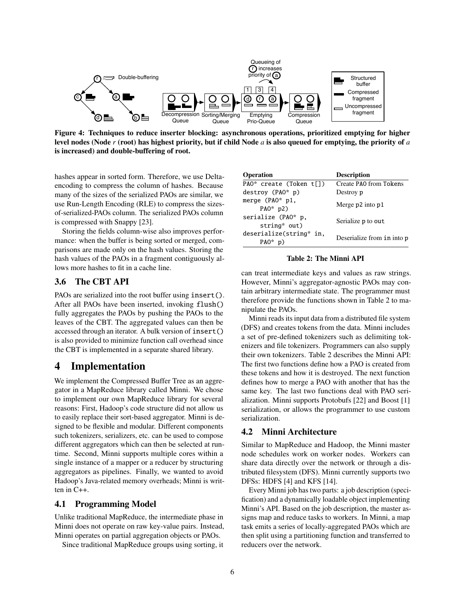<span id="page-5-1"></span>

Figure 4: Techniques to reduce inserter blocking: asynchronous operations, prioritized emptying for higher level nodes (Node *r* (root) has highest priority, but if child Node *a* is also queued for emptying, the priority of *a* is increased) and double-buffering of root.

hashes appear in sorted form. Therefore, we use Deltaencoding to compress the column of hashes. Because many of the sizes of the serialized PAOs are similar, we use Run-Length Encoding (RLE) to compress the sizesof-serialized-PAOs column. The serialized PAOs column is compressed with Snappy [\[23\]](#page-12-12).

Storing the fields column-wise also improves performance: when the buffer is being sorted or merged, comparisons are made only on the hash values. Storing the hash values of the PAOs in a fragment contiguously allows more hashes to fit in a cache line.

### 3.6 The CBT API

PAOs are serialized into the root buffer using insert(). After all PAOs have been inserted, invoking flush() fully aggregates the PAOs by pushing the PAOs to the leaves of the CBT. The aggregated values can then be accessed through an iterator. A bulk version of insert() is also provided to minimize function call overhead since the CBT is implemented in a separate shared library.

# <span id="page-5-0"></span>4 Implementation

We implement the Compressed Buffer Tree as an aggregator in a MapReduce library called Minni. We chose to implement our own MapReduce library for several reasons: First, Hadoop's code structure did not allow us to easily replace their sort-based aggregator. Minni is designed to be flexible and modular. Different components such tokenizers, serializers, etc. can be used to compose different aggregators which can then be selected at runtime. Second, Minni supports multiple cores within a single instance of a mapper or a reducer by structuring aggregators as pipelines. Finally, we wanted to avoid Hadoop's Java-related memory overheads; Minni is written in C++.

### 4.1 Programming Model

Unlike traditional MapReduce, the intermediate phase in Minni does not operate on raw key-value pairs. Instead, Minni operates on partial aggregation objects or PAOs.

Since traditional MapReduce groups using sorting, it

<span id="page-5-2"></span>

| Operation                             | <b>Description</b>         |
|---------------------------------------|----------------------------|
| PAO* create (Token t[])               | Create PAO from Tokens     |
| $destroy (PA0* p)$                    | Destroy p                  |
| merge $(PAO^*$ p1,<br>PAO* $p2)$      | Merge p2 into p1           |
| serialize (PAO* p,<br>string* out)    | Serialize p to out         |
| deserialize(string* in,<br>$PA0^*$ p) | Deserialize from in into p |

#### Table 2: The Minni API

can treat intermediate keys and values as raw strings. However, Minni's aggregator-agnostic PAOs may contain arbitrary intermediate state. The programmer must therefore provide the functions shown in Table [2](#page-5-2) to manipulate the PAOs.

Minni reads its input data from a distributed file system (DFS) and creates tokens from the data. Minni includes a set of pre-defined tokenizers such as delimiting tokenizers and file tokenizers. Programmers can also supply their own tokenizers. Table [2](#page-5-2) describes the Minni API: The first two functions define how a PAO is created from these tokens and how it is destroyed. The next function defines how to merge a PAO with another that has the same key. The last two functions deal with PAO serialization. Minni supports Protobufs [\[22\]](#page-12-11) and Boost [\[1\]](#page-12-13) serialization, or allows the programmer to use custom serialization.

### 4.2 Minni Architecture

Similar to MapReduce and Hadoop, the Minni master node schedules work on worker nodes. Workers can share data directly over the network or through a distributed filesystem (DFS). Minni currently supports two DFSs: HDFS [\[4\]](#page-12-14) and KFS [\[14\]](#page-12-15).

Every Minni job has two parts: a job description (specification) and a dynamically loadable object implementing Minni's API. Based on the job description, the master assigns map and reduce tasks to workers. In Minni, a map task emits a series of locally-aggregated PAOs which are then split using a partitioning function and transferred to reducers over the network.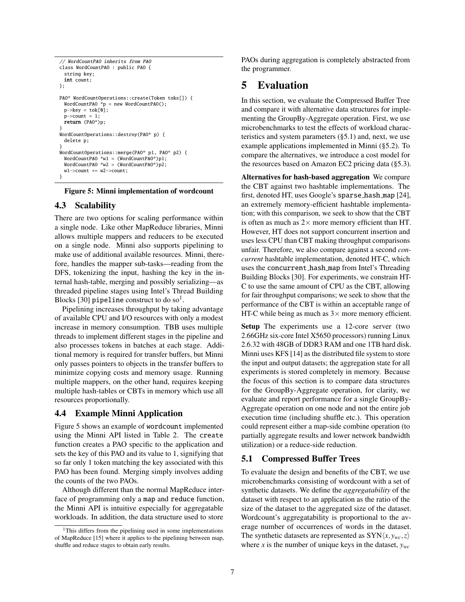```
// WordCountPAO inherits from PAO
class WordCountPAO : public PAO {
 string key;
 int count;
};
PAO* WordCountOperations::create(Token toks[]) {
 WordCountPAO *p = new WordCountPAO();
 p->key = tok[0];
 p->count = 1;
 return (PAO*)p;
}
WordCountOperations::destroy(PAO* p) {
 delete p;
}
WordCountOperations::merge(PAO* p1, PAO* p2) {
 WordCountPAO *w1 = (WordCountPAO*)p1;
 WordCountPAO *w2 = (WordCountPAO*)p2;
 w1->count += w2->count:
}
```
#### Figure 5: Minni implementation of wordcount

#### 4.3 Scalability

There are two options for scaling performance within a single node. Like other MapReduce libraries, Minni allows multiple mappers and reducers to be executed on a single node. Minni also supports pipelining to make use of additional available resources. Minni, therefore, handles the mapper sub-tasks—reading from the DFS, tokenizing the input, hashing the key in the internal hash-table, merging and possibly serializing—as threaded pipeline stages using Intel's Thread Building Blocks [\[30\]](#page-13-6)  $\verb|pipeline|$  construct to do  $\mathrm{so}^1.$  $\mathrm{so}^1.$  $\mathrm{so}^1.$ 

Pipelining increases throughput by taking advantage of available CPU and I/O resources with only a modest increase in memory consumption. TBB uses multiple threads to implement different stages in the pipeline and also processes tokens in batches at each stage. Additional memory is required for transfer buffers, but Minni only passes pointers to objects in the transfer buffers to minimize copying costs and memory usage. Running multiple mappers, on the other hand, requires keeping multiple hash-tables or CBTs in memory which use all resources proportionally.

#### 4.4 Example Minni Application

Figure [5](#page-6-2) shows an example of wordcount implemented using the Minni API listed in Table [2.](#page-5-2) The create function creates a PAO specific to the application and sets the key of this PAO and its value to 1, signifying that so far only 1 token matching the key associated with this PAO has been found. Merging simply involves adding the counts of the two PAOs.

Although different than the normal MapReduce interface of programming only a map and reduce function, the Minni API is intuitive especially for aggregatable workloads. In addition, the data structure used to store

PAOs during aggregation is completely abstracted from the programmer.

# <span id="page-6-0"></span>5 Evaluation

In this section, we evaluate the Compressed Buffer Tree and compare it with alternative data structures for implementing the GroupBy-Aggregate operation. First, we use microbenchmarks to test the effects of workload characteristics and system parameters ([§5.1\)](#page-6-3) and, next, we use example applications implemented in Minni ([§5.2\)](#page-9-0). To compare the alternatives, we introduce a cost model for the resources based on Amazon EC2 pricing data ([§5.3\)](#page-10-0).

Alternatives for hash-based aggregation We compare the CBT against two hashtable implementations. The first, denoted HT, uses Google's sparse hash map [\[24\]](#page-12-10), an extremely memory-efficient hashtable implementation; with this comparison, we seek to show that the CBT is often as much as  $2\times$  more memory efficient than HT. However, HT does not support concurrent insertion and uses less CPU than CBT making throughput comparisons unfair. Therefore, we also compare against a second *concurrent* hashtable implementation, denoted HT-C, which uses the concurrent hash map from Intel's Threading Building Blocks [\[30\]](#page-13-6). For experiments, we constrain HT-C to use the same amount of CPU as the CBT, allowing for fair throughput comparisons; we seek to show that the performance of the CBT is within an acceptable range of HT-C while being as much as  $3\times$  more memory efficient.

Setup The experiments use a 12-core server (two 2.66GHz six-core Intel X5650 processors) running Linux 2.6.32 with 48GB of DDR3 RAM and one 1TB hard disk. Minni uses KFS [\[14\]](#page-12-15) as the distributed file system to store the input and output datasets; the aggregation state for all experiments is stored completely in memory. Because the focus of this section is to compare data structures for the GroupBy-Aggregate operation, for clarity, we evaluate and report performance for a single GroupBy-Aggregate operation on one node and not the entire job execution time (including shuffle etc.). This operation could represent either a map-side combine operation (to partially aggregate results and lower network bandwidth utilization) or a reduce-side reduction.

### <span id="page-6-3"></span>5.1 Compressed Buffer Trees

To evaluate the design and benefits of the CBT, we use microbenchmarks consisting of wordcount with a set of synthetic datasets. We define the *aggregatability* of the dataset with respect to an application as the ratio of the size of the dataset to the aggregated size of the dataset. Wordcount's aggregatability is proportional to the average number of occurrences of words in the dataset. The synthetic datasets are represented as  $SYN\langle x, y_{wc}, z \rangle$ where *x* is the number of unique keys in the dataset, *ywc*

<span id="page-6-1"></span><sup>&</sup>lt;sup>1</sup>This differs from the pipelining used in some implementations of MapReduce [\[15\]](#page-12-16) where it applies to the pipelining between map, shuffle and reduce stages to obtain early results.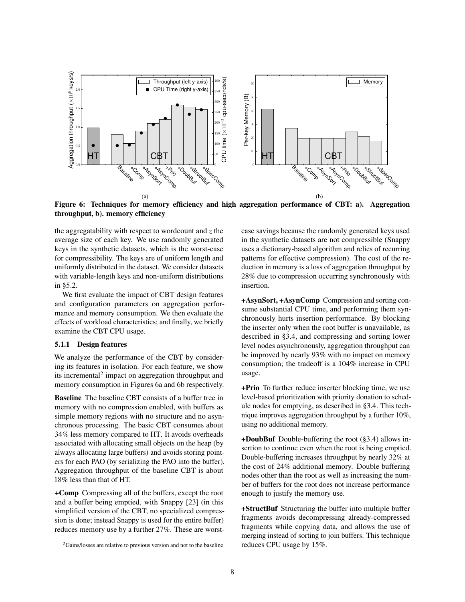<span id="page-7-1"></span>

Figure 6: Techniques for memory efficiency and high aggregation performance of CBT: a). Aggregation throughput, b). memory efficiency

the aggregatability with respect to wordcount and *z* the average size of each key. We use randomly generated keys in the synthetic datasets, which is the worst-case for compressibility. The keys are of uniform length and uniformly distributed in the dataset. We consider datasets with variable-length keys and non-uniform distributions in [§5.2.](#page-9-0)

We first evaluate the impact of CBT design features and configuration parameters on aggregation performance and memory consumption. We then evaluate the effects of workload characteristics; and finally, we briefly examine the CBT CPU usage.

#### 5.1.1 Design features

We analyze the performance of the CBT by considering its features in isolation. For each feature, we show its incremental<sup>[2](#page-7-0)</sup> impact on aggregation throughput and memory consumption in Figures [6a](#page-7-1) and [6b](#page-7-2) respectively.

Baseline The baseline CBT consists of a buffer tree in memory with no compression enabled, with buffers as simple memory regions with no structure and no asynchronous processing. The basic CBT consumes about 34% less memory compared to HT. It avoids overheads associated with allocating small objects on the heap (by always allocating large buffers) and avoids storing pointers for each PAO (by serializing the PAO into the buffer). Aggregation throughput of the baseline CBT is about 18% less than that of HT.

+Comp Compressing all of the buffers, except the root and a buffer being emptied, with Snappy [\[23\]](#page-12-12) (in this simplified version of the CBT, no specialized compression is done; instead Snappy is used for the entire buffer) reduces memory use by a further 27%. These are worst<span id="page-7-2"></span>case savings because the randomly generated keys used in the synthetic datasets are not compressible (Snappy uses a dictionary-based algorithm and relies of recurring patterns for effective compression). The cost of the reduction in memory is a loss of aggregation throughput by 28% due to compression occurring synchronously with insertion.

+AsynSort, +AsynComp Compression and sorting consume substantial CPU time, and performing them synchronously hurts insertion performance. By blocking the inserter only when the root buffer is unavailable, as described in [§3.4,](#page-4-0) and compressing and sorting lower level nodes asynchronously, aggregation throughput can be improved by nearly 93% with no impact on memory consumption; the tradeoff is a 104% increase in CPU usage.

+Prio To further reduce inserter blocking time, we use level-based prioritization with priority donation to schedule nodes for emptying, as described in [§3.4.](#page-4-0) This technique improves aggregation throughput by a further 10%, using no additional memory.

+DoubBuf Double-buffering the root ([§3.4\)](#page-4-0) allows insertion to continue even when the root is being emptied. Double-buffering increases throughput by nearly 32% at the cost of 24% additional memory. Double buffering nodes other than the root as well as increasing the number of buffers for the root does not increase performance enough to justify the memory use.

+StructBuf Structuring the buffer into multiple buffer fragments avoids decompressing already-compressed fragments while copying data, and allows the use of merging instead of sorting to join buffers. This technique reduces CPU usage by 15%.

<span id="page-7-0"></span><sup>2</sup>Gains/losses are relative to previous version and not to the baseline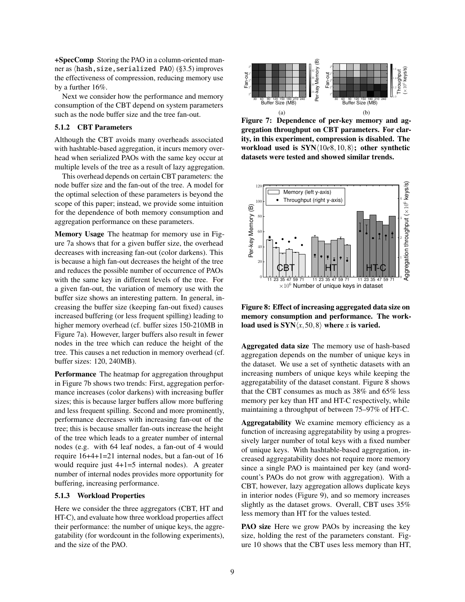+SpecComp Storing the PAO in a column-oriented manner as  $\langle$ hash,size,serialized PAO $\rangle$  ([§3.5\)](#page-4-1) improves the effectiveness of compression, reducing memory use by a further 16%.

Next we consider how the performance and memory consumption of the CBT depend on system parameters such as the node buffer size and the tree fan-out.

#### 5.1.2 CBT Parameters

Although the CBT avoids many overheads associated with hashtable-based aggregation, it incurs memory overhead when serialized PAOs with the same key occur at multiple levels of the tree as a result of lazy aggregation.

This overhead depends on certain CBT parameters: the node buffer size and the fan-out of the tree. A model for the optimal selection of these parameters is beyond the scope of this paper; instead, we provide some intuition for the dependence of both memory consumption and aggregation performance on these parameters.

Memory Usage The heatmap for memory use in Figure [7a](#page-8-0) shows that for a given buffer size, the overhead decreases with increasing fan-out (color darkens). This is because a high fan-out decreases the height of the tree and reduces the possible number of occurrence of PAOs with the same key in different levels of the tree. For a given fan-out, the variation of memory use with the buffer size shows an interesting pattern. In general, increasing the buffer size (keeping fan-out fixed) causes increased buffering (or less frequent spilling) leading to higher memory overhead (cf. buffer sizes 150-210MB in Figure [7a\)](#page-8-0). However, larger buffers also result in fewer nodes in the tree which can reduce the height of the tree. This causes a net reduction in memory overhead (cf. buffer sizes: 120, 240MB).

Performance The heatmap for aggregation throughput in Figure [7b](#page-8-1) shows two trends: First, aggregation performance increases (color darkens) with increasing buffer sizes; this is because larger buffers allow more buffering and less frequent spilling. Second and more prominently, performance decreases with increasing fan-out of the tree; this is because smaller fan-outs increase the height of the tree which leads to a greater number of internal nodes (e.g. with 64 leaf nodes, a fan-out of 4 would require 16+4+1=21 internal nodes, but a fan-out of 16 would require just 4+1=5 internal nodes). A greater number of internal nodes provides more opportunity for buffering, increasing performance.

#### 5.1.3 Workload Properties

Here we consider the three aggregators (CBT, HT and HT-C), and evaluate how three workload properties affect their performance: the number of unique keys, the aggregatability (for wordcount in the following experiments), and the size of the PAO.

<span id="page-8-0"></span>

<span id="page-8-1"></span>Figure 7: Dependence of per-key memory and aggregation throughput on CBT parameters. For clarity, in this experiment, compression is disabled. The workload used is  $SYN(10e8, 10, 8)$ ; other synthetic datasets were tested and showed similar trends.

<span id="page-8-2"></span>

Figure 8: Effect of increasing aggregated data size on memory consumption and performance. The workload used is  $SYN\langle x, 50, 8 \rangle$  where *x* is varied.

Aggregated data size The memory use of hash-based aggregation depends on the number of unique keys in the dataset. We use a set of synthetic datasets with an increasing numbers of unique keys while keeping the aggregatability of the dataset constant. Figure [8](#page-8-2) shows that the CBT consumes as much as 38% and 65% less memory per key than HT and HT-C respectively, while maintaining a throughput of between 75–97% of HT-C.

Aggregatability We examine memory efficiency as a function of increasing aggregatability by using a progressively larger number of total keys with a fixed number of unique keys. With hashtable-based aggregation, increased aggregatability does not require more memory since a single PAO is maintained per key (and wordcount's PAOs do not grow with aggregation). With a CBT, however, lazy aggregation allows duplicate keys in interior nodes (Figure [9\)](#page-9-1), and so memory increases slightly as the dataset grows. Overall, CBT uses 35% less memory than HT for the values tested.

PAO size Here we grow PAOs by increasing the key size, holding the rest of the parameters constant. Figure [10](#page-9-2) shows that the CBT uses less memory than HT,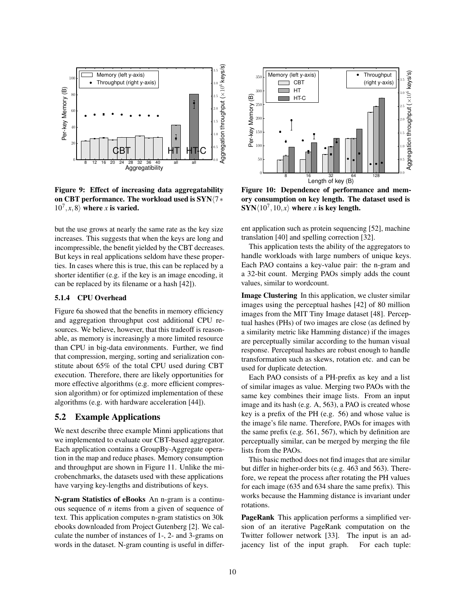<span id="page-9-1"></span>

Figure 9: Effect of increasing data aggregatability on CBT performance. The workload used is SYN $\sqrt{7}$ ∗  $10^7, x, 8$  where *x* is varied.

but the use grows at nearly the same rate as the key size increases. This suggests that when the keys are long and incompressible, the benefit yielded by the CBT decreases. But keys in real applications seldom have these properties. In cases where this is true, this can be replaced by a shorter identifier (e.g. if the key is an image encoding, it can be replaced by its filename or a hash [\[42\]](#page-13-7)).

#### 5.1.4 CPU Overhead

Figure [6a](#page-7-1) showed that the benefits in memory efficiency and aggregation throughput cost additional CPU resources. We believe, however, that this tradeoff is reasonable, as memory is increasingly a more limited resource than CPU in big-data environments. Further, we find that compression, merging, sorting and serialization constitute about 65% of the total CPU used during CBT execution. Therefore, there are likely opportunities for more effective algorithms (e.g. more efficient compression algorithm) or for optimized implementation of these algorithms (e.g. with hardware acceleration [\[44\]](#page-13-8)).

## <span id="page-9-0"></span>5.2 Example Applications

We next describe three example Minni applications that we implemented to evaluate our CBT-based aggregator. Each application contains a GroupBy-Aggregate operation in the map and reduce phases. Memory consumption and throughput are shown in Figure [11.](#page-10-2) Unlike the microbenchmarks, the datasets used with these applications have varying key-lengths and distributions of keys.

N-gram Statistics of eBooks An n-gram is a continuous sequence of *n* items from a given of sequence of text. This application computes n-gram statistics on 30k ebooks downloaded from Project Gutenberg [\[2\]](#page-12-17). We calculate the number of instances of 1-, 2- and 3-grams on words in the dataset. N-gram counting is useful in differ-

<span id="page-9-2"></span>

Figure 10: Dependence of performance and memory consumption on key length. The dataset used is  $\textbf{SYN}\langle10^7,10,x\rangle$  where *x* is key length.

ent application such as protein sequencing [\[52\]](#page-14-1), machine translation [\[40\]](#page-13-9) and spelling correction [\[32\]](#page-13-10).

This application tests the ability of the aggregators to handle workloads with large numbers of unique keys. Each PAO contains a key-value pair: the n-gram and a 32-bit count. Merging PAOs simply adds the count values, similar to wordcount.

Image Clustering In this application, we cluster similar images using the perceptual hashes [\[42\]](#page-13-7) of 80 million images from the MIT Tiny Image dataset [\[48\]](#page-13-11). Perceptual hashes (PHs) of two images are close (as defined by a similarity metric like Hamming distance) if the images are perceptually similar according to the human visual response. Perceptual hashes are robust enough to handle transformation such as skews, rotation etc. and can be used for duplicate detection.

Each PAO consists of a PH-prefix as key and a list of similar images as value. Merging two PAOs with the same key combines their image lists. From an input image and its hash (e.g. A, 563), a PAO is created whose key is a prefix of the PH (e.g. 56) and whose value is the image's file name. Therefore, PAOs for images with the same prefix (e.g. 561, 567), which by definition are perceptually similar, can be merged by merging the file lists from the PAOs.

This basic method does not find images that are similar but differ in higher-order bits (e.g. 463 and 563). Therefore, we repeat the process after rotating the PH values for each image (635 and 634 share the same prefix). This works because the Hamming distance is invariant under rotations.

PageRank This application performs a simplified version of an iterative PageRank computation on the Twitter follower network [\[33\]](#page-13-12). The input is an adjacency list of the input graph. For each tuple: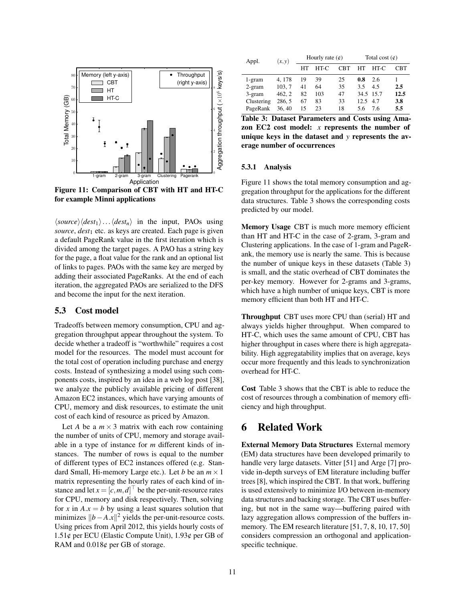<span id="page-10-2"></span>

Figure 11: Comparison of CBT with HT and HT-C for example Minni applications

 $\langle source \rangle \langle dest_1 \rangle \dots \langle dest_n \rangle$  in the input, PAOs using *source*, *dest*<sub>1</sub> etc. as keys are created. Each page is given a default PageRank value in the first iteration which is divided among the target pages. A PAO has a string key for the page, a float value for the rank and an optional list of links to pages. PAOs with the same key are merged by adding their associated PageRanks. At the end of each iteration, the aggregated PAOs are serialized to the DFS and become the input for the next iteration.

#### <span id="page-10-0"></span>5.3 Cost model

Tradeoffs between memory consumption, CPU and aggregation throughput appear throughout the system. To decide whether a tradeoff is "worthwhile" requires a cost model for the resources. The model must account for the total cost of operation including purchase and energy costs. Instead of synthesizing a model using such components costs, inspired by an idea in a web log post [\[38\]](#page-13-13), we analyze the publicly available pricing of different Amazon EC2 instances, which have varying amounts of CPU, memory and disk resources, to estimate the unit cost of each kind of resource as priced by Amazon.

Let *A* be a  $m \times 3$  matrix with each row containing the number of units of CPU, memory and storage available in a type of instance for *m* different kinds of instances. The number of rows is equal to the number of different types of EC2 instances offered (e.g. Standard Small, Hi-memory Large etc.). Let *b* be an  $m \times 1$ matrix representing the hourly rates of each kind of instance and let  $x = [c, m, d]$  be the per-unit-resource rates for CPU, memory and disk respectively. Then, solving for *x* in  $A.x = b$  by using a least squares solution that minimizes  $||b−A.x||^2$  yields the per-unit-resource costs. Using prices from April 2012, this yields hourly costs of 1.51¢ per ECU (Elastic Compute Unit), 1.93¢ per GB of RAM and 0.018¢ per GB of storage.

<span id="page-10-3"></span>

| Appl.      | (x, y) | Hourly rate $(\phi)$ |      |            | Total cost $(\phi)$ |           |      |
|------------|--------|----------------------|------|------------|---------------------|-----------|------|
|            |        | HT                   | HT-C | <b>CBT</b> | HТ                  | HT-C      | CBT  |
| 1-gram     | 4, 178 | 19                   | 39   | 25         | 0.8                 | 2.6       |      |
| $2$ -gram  | 103, 7 | 41                   | 64   | 35         | 3.5                 | 4.5       | 2.5  |
| 3-gram     | 462, 2 | 82                   | 103  | 47         |                     | 34.5 15.7 | 12.5 |
| Clustering | 286, 5 | 67                   | 83   | 33         | 12.5                | 4.7       | 3.8  |
| PageRank   | 36.40  | 15                   | 23   | 18         | 5.6                 | 7.6       | 5.5  |

Table 3: Dataset Parameters and Costs using Amazon EC2 cost model: *x* represents the number of unique keys in the dataset and *y* represents the average number of occurrences

#### 5.3.1 Analysis

Figure [11](#page-10-2) shows the total memory consumption and aggregation throughput for the applications for the different data structures. Table [3](#page-10-3) shows the corresponding costs predicted by our model.

Memory Usage CBT is much more memory efficient than HT and HT-C in the case of 2-gram, 3-gram and Clustering applications. In the case of 1-gram and PageRank, the memory use is nearly the same. This is because the number of unique keys in these datasets (Table [3\)](#page-10-3) is small, and the static overhead of CBT dominates the per-key memory. However for 2-grams and 3-grams, which have a high number of unique keys, CBT is more memory efficient than both HT and HT-C.

Throughput CBT uses more CPU than (serial) HT and always yields higher throughput. When compared to HT-C, which uses the same amount of CPU, CBT has higher throughput in cases where there is high aggregatability. High aggregatability implies that on average, keys occur more frequently and this leads to synchronization overhead for HT-C.

Cost Table [3](#page-10-3) shows that the CBT is able to reduce the cost of resources through a combination of memory efficiency and high throughput.

# <span id="page-10-1"></span>6 Related Work

External Memory Data Structures External memory (EM) data structures have been developed primarily to handle very large datasets. Vitter [\[51\]](#page-14-2) and Arge [\[7\]](#page-12-18) provide in-depth surveys of EM literature including buffer trees [\[8\]](#page-12-5), which inspired the CBT. In that work, buffering is used extensively to minimize I/O between in-memory data structures and backing storage. The CBT uses buffering, but not in the same way—buffering paired with lazy aggregation allows compression of the buffers in-memory. The EM research literature [\[51,](#page-14-2) [7,](#page-12-18) [8,](#page-12-5) [10,](#page-12-19) [17,](#page-12-20) [50\]](#page-14-3) considers compression an orthogonal and applicationspecific technique.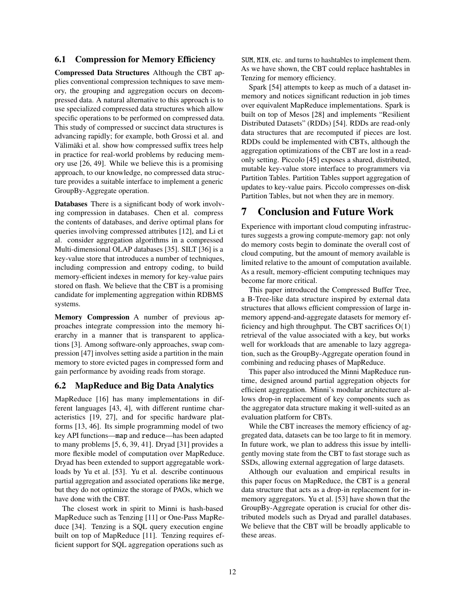### 6.1 Compression for Memory Efficiency

Compressed Data Structures Although the CBT applies conventional compression techniques to save memory, the grouping and aggregation occurs on decompressed data. A natural alternative to this approach is to use specialized compressed data structures which allow specific operations to be performed on compressed data. This study of compressed or succinct data structures is advancing rapidly; for example, both Grossi et al. and Välimäki et al. show how compressed suffix trees help in practice for real-world problems by reducing memory use [\[26,](#page-12-21) [49\]](#page-13-1). While we believe this is a promising approach, to our knowledge, no compressed data structure provides a suitable interface to implement a generic GroupBy-Aggregate operation.

Databases There is a significant body of work involving compression in databases. Chen et al. compress the contents of databases, and derive optimal plans for queries involving compressed attributes [\[12\]](#page-12-22), and Li et al. consider aggregation algorithms in a compressed Multi-dimensional OLAP databases [\[35\]](#page-13-14). SILT [\[36\]](#page-13-15) is a key-value store that introduces a number of techniques, including compression and entropy coding, to build memory-efficient indexes in memory for key-value pairs stored on flash. We believe that the CBT is a promising candidate for implementing aggregation within RDBMS systems.

Memory Compression A number of previous approaches integrate compression into the memory hierarchy in a manner that is transparent to applications [\[3\]](#page-12-23). Among software-only approaches, swap compression [\[47\]](#page-13-16) involves setting aside a partition in the main memory to store evicted pages in compressed form and gain performance by avoiding reads from storage.

### 6.2 MapReduce and Big Data Analytics

MapReduce [\[16\]](#page-12-0) has many implementations in different languages [\[43,](#page-13-17) [4\]](#page-12-14), with different runtime characteristics [\[19,](#page-12-24) [27\]](#page-12-25), and for specific hardware platforms [\[13,](#page-12-26) [46\]](#page-13-18). Its simple programming model of two key API functions—map and reduce—has been adapted to many problems [\[5,](#page-12-3) [6,](#page-12-2) [39,](#page-13-19) [41\]](#page-13-20). Dryad [\[31\]](#page-13-5) provides a more flexible model of computation over MapReduce. Dryad has been extended to support aggregatable workloads by Yu et al. [\[53\]](#page-14-0). Yu et al. describe continuous partial aggregation and associated operations like merge, but they do not optimize the storage of PAOs, which we have done with the CBT.

The closest work in spirit to Minni is hash-based MapReduce such as Tenzing [\[11\]](#page-12-4) or One-Pass MapReduce [\[34\]](#page-13-4). Tenzing is a SQL query execution engine built on top of MapReduce [\[11\]](#page-12-4). Tenzing requires efficient support for SQL aggregation operations such as

SUM, MIN, etc. and turns to hashtables to implement them. As we have shown, the CBT could replace hashtables in Tenzing for memory efficiency.

Spark [\[54\]](#page-14-4) attempts to keep as much of a dataset inmemory and notices significant reduction in job times over equivalent MapReduce implementations. Spark is built on top of Mesos [\[28\]](#page-13-21) and implements "Resilient Distributed Datasets" (RDDs) [\[54\]](#page-14-4). RDDs are read-only data structures that are recomputed if pieces are lost. RDDs could be implemented with CBTs, although the aggregation optimizations of the CBT are lost in a readonly setting. Piccolo [\[45\]](#page-13-3) exposes a shared, distributed, mutable key-value store interface to programmers via Partition Tables. Partition Tables support aggregation of updates to key-value pairs. Piccolo compresses on-disk Partition Tables, but not when they are in memory.

# 7 Conclusion and Future Work

Experience with important cloud computing infrastructures suggests a growing compute-memory gap: not only do memory costs begin to dominate the overall cost of cloud computing, but the amount of memory available is limited relative to the amount of computation available. As a result, memory-efficient computing techniques may become far more critical.

This paper introduced the Compressed Buffer Tree, a B-Tree-like data structure inspired by external data structures that allows efficient compression of large inmemory append-and-aggregate datasets for memory efficiency and high throughput. The CBT sacrifices  $O(1)$ retrieval of the value associated with a key, but works well for workloads that are amenable to lazy aggregation, such as the GroupBy-Aggregate operation found in combining and reducing phases of MapReduce.

This paper also introduced the Minni MapReduce runtime, designed around partial aggregation objects for efficient aggregation. Minni's modular architecture allows drop-in replacement of key components such as the aggregator data structure making it well-suited as an evaluation platform for CBTs.

While the CBT increases the memory efficiency of aggregated data, datasets can be too large to fit in memory. In future work, we plan to address this issue by intelligently moving state from the CBT to fast storage such as SSDs, allowing external aggregation of large datasets.

Although our evaluation and empirical results in this paper focus on MapReduce, the CBT is a general data structure that acts as a drop-in replacement for inmemory aggregators. Yu et al. [\[53\]](#page-14-0) have shown that the GroupBy-Aggregate operation is crucial for other distributed models such as Dryad and parallel databases. We believe that the CBT will be broadly applicable to these areas.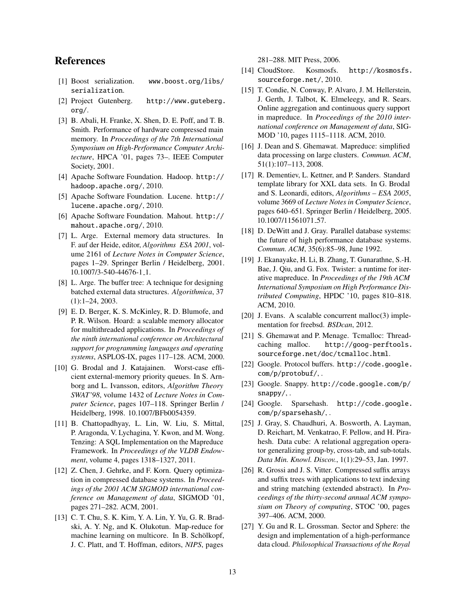# References

- <span id="page-12-13"></span>[1] Boost serialization. [www.boost.org/libs/](www.boost.org/libs/serialization) [serialization](www.boost.org/libs/serialization).
- <span id="page-12-17"></span>[2] Project Gutenberg. [http://www.guteberg.](http://www.guteberg.org/) [org/](http://www.guteberg.org/).
- <span id="page-12-23"></span>[3] B. Abali, H. Franke, X. Shen, D. E. Poff, and T. B. Smith. Performance of hardware compressed main memory. In *Proceedings of the 7th International Symposium on High-Performance Computer Architecture*, HPCA '01, pages 73–. IEEE Computer Society, 2001.
- <span id="page-12-14"></span>[4] Apache Software Foundation. Hadoop. [http://](http://hadoop.apache.org/) [hadoop.apache.org/](http://hadoop.apache.org/), 2010.
- <span id="page-12-3"></span>[5] Apache Software Foundation. Lucene. [http://](http://lucene.apache.org/) [lucene.apache.org/](http://lucene.apache.org/), 2010.
- <span id="page-12-2"></span>[6] Apache Software Foundation. Mahout. [http://](http://mahout.apache.org/) [mahout.apache.org/](http://mahout.apache.org/), 2010.
- <span id="page-12-18"></span>[7] L. Arge. External memory data structures. In F. auf der Heide, editor, *Algorithms ESA 2001*, volume 2161 of *Lecture Notes in Computer Science*, pages 1–29. Springer Berlin / Heidelberg, 2001. 10.1007/3-540-44676-1 1.
- <span id="page-12-5"></span>[8] L. Arge. The buffer tree: A technique for designing batched external data structures. *Algorithmica*, 37 (1):1–24, 2003.
- <span id="page-12-7"></span>[9] E. D. Berger, K. S. McKinley, R. D. Blumofe, and P. R. Wilson. Hoard: a scalable memory allocator for multithreaded applications. In *Proceedings of the ninth international conference on Architectural support for programming languages and operating systems*, ASPLOS-IX, pages 117–128. ACM, 2000.
- <span id="page-12-19"></span>[10] G. Brodal and J. Katajainen. Worst-case efficient external-memory priority queues. In S. Arnborg and L. Ivansson, editors, *Algorithm Theory SWAT'98*, volume 1432 of *Lecture Notes in Computer Science*, pages 107–118. Springer Berlin / Heidelberg, 1998. 10.1007/BFb0054359.
- <span id="page-12-4"></span>[11] B. Chattopadhyay, L. Lin, W. Liu, S. Mittal, P. Aragonda, V. Lychagina, Y. Kwon, and M. Wong. Tenzing: A SQL Implementation on the Mapreduce Framework. In *Proceedings of the VLDB Endowment*, volume 4, pages 1318–1327, 2011.
- <span id="page-12-22"></span>[12] Z. Chen, J. Gehrke, and F. Korn. Query optimization in compressed database systems. In *Proceedings of the 2001 ACM SIGMOD international conference on Management of data*, SIGMOD '01, pages 271–282. ACM, 2001.
- <span id="page-12-26"></span>[13] C. T. Chu, S. K. Kim, Y. A. Lin, Y. Yu, G. R. Bradski, A. Y. Ng, and K. Olukotun. Map-reduce for machine learning on multicore. In B. Schölkopf, J. C. Platt, and T. Hoffman, editors, *NIPS*, pages

281–288. MIT Press, 2006.

- <span id="page-12-15"></span>[14] CloudStore. Kosmosfs. [http://kosmosfs.](http://kosmosfs.sourceforge.net/) [sourceforge.net/](http://kosmosfs.sourceforge.net/), 2010.
- <span id="page-12-16"></span>[15] T. Condie, N. Conway, P. Alvaro, J. M. Hellerstein, J. Gerth, J. Talbot, K. Elmeleegy, and R. Sears. Online aggregation and continuous query support in mapreduce. In *Proceedings of the 2010 international conference on Management of data*, SIG-MOD '10, pages 1115–1118. ACM, 2010.
- <span id="page-12-0"></span>[16] J. Dean and S. Ghemawat. Mapreduce: simplified data processing on large clusters. *Commun. ACM*, 51(1):107–113, 2008.
- <span id="page-12-20"></span>[17] R. Dementiev, L. Kettner, and P. Sanders. Standard template library for XXL data sets. In G. Brodal and S. Leonardi, editors, *Algorithms – ESA 2005*, volume 3669 of *Lecture Notes in Computer Science*, pages 640–651. Springer Berlin / Heidelberg, 2005. 10.1007/11561071 57.
- <span id="page-12-6"></span>[18] D. DeWitt and J. Gray. Parallel database systems: the future of high performance database systems. *Commun. ACM*, 35(6):85–98, June 1992.
- <span id="page-12-24"></span>[19] J. Ekanayake, H. Li, B. Zhang, T. Gunarathne, S.-H. Bae, J. Qiu, and G. Fox. Twister: a runtime for iterative mapreduce. In *Proceedings of the 19th ACM International Symposium on High Performance Distributed Computing*, HPDC '10, pages 810–818. ACM, 2010.
- <span id="page-12-9"></span>[20] J. Evans. A scalable concurrent malloc(3) implementation for freebsd. *BSDcan*, 2012.
- <span id="page-12-8"></span>[21] S. Ghemawat and P. Menage. Tcmalloc: Threadcaching malloc. [http://goog-perftools.](http://goog-perftools.sourceforge.net/doc/tcmalloc.html) [sourceforge.net/doc/tcmalloc.html](http://goog-perftools.sourceforge.net/doc/tcmalloc.html).
- <span id="page-12-11"></span>[22] Google. Protocol buffers. [http://code.google.](http://code.google.com/p/protobuf/) [com/p/protobuf/](http://code.google.com/p/protobuf/), .
- <span id="page-12-12"></span>[23] Google. Snappy. [http://code.google.com/p/](http://code.google.com/p/snappy/) [snappy/](http://code.google.com/p/snappy/), .
- <span id="page-12-10"></span>[24] Google. Sparsehash. [http://code.google.](http://code.google.com/p/sparsehash/) [com/p/sparsehash/](http://code.google.com/p/sparsehash/), .
- <span id="page-12-1"></span>[25] J. Gray, S. Chaudhuri, A. Bosworth, A. Layman, D. Reichart, M. Venkatrao, F. Pellow, and H. Pirahesh. Data cube: A relational aggregation operator generalizing group-by, cross-tab, and sub-totals. *Data Min. Knowl. Discov.*, 1(1):29–53, Jan. 1997.
- <span id="page-12-21"></span>[26] R. Grossi and J. S. Vitter. Compressed suffix arrays and suffix trees with applications to text indexing and string matching (extended abstract). In *Proceedings of the thirty-second annual ACM symposium on Theory of computing*, STOC '00, pages 397–406. ACM, 2000.
- <span id="page-12-25"></span>[27] Y. Gu and R. L. Grossman. Sector and Sphere: the design and implementation of a high-performance data cloud. *Philosophical Transactions of the Royal*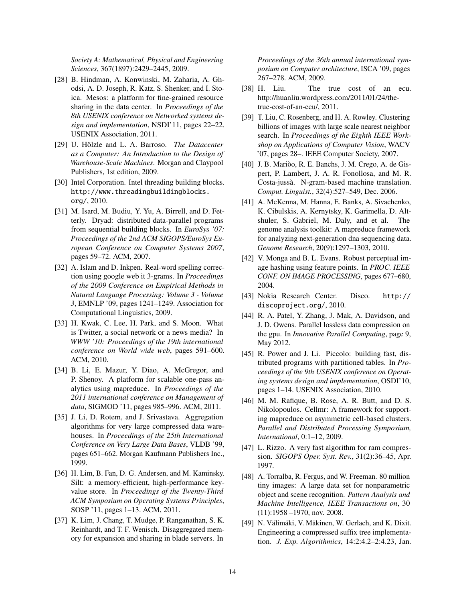*Society A: Mathematical, Physical and Engineering Sciences*, 367(1897):2429–2445, 2009.

- <span id="page-13-21"></span>[28] B. Hindman, A. Konwinski, M. Zaharia, A. Ghodsi, A. D. Joseph, R. Katz, S. Shenker, and I. Stoica. Mesos: a platform for fine-grained resource sharing in the data center. In *Proceedings of the 8th USENIX conference on Networked systems design and implementation*, NSDI'11, pages 22–22. USENIX Association, 2011.
- <span id="page-13-0"></span>[29] U. Hölzle and L. A. Barroso. The Datacenter *as a Computer: An Introduction to the Design of Warehouse-Scale Machines*. Morgan and Claypool Publishers, 1st edition, 2009.
- <span id="page-13-6"></span>[30] Intel Corporation. Intel threading building blocks. [http://www.threadingbuildingblocks.](http://www.threadingbuildingblocks.org/) [org/](http://www.threadingbuildingblocks.org/), 2010.
- <span id="page-13-5"></span>[31] M. Isard, M. Budiu, Y. Yu, A. Birrell, and D. Fetterly. Dryad: distributed data-parallel programs from sequential building blocks. In *EuroSys '07: Proceedings of the 2nd ACM SIGOPS/EuroSys European Conference on Computer Systems 2007*, pages 59–72. ACM, 2007.
- <span id="page-13-10"></span>[32] A. Islam and D. Inkpen. Real-word spelling correction using google web it 3-grams. In *Proceedings of the 2009 Conference on Empirical Methods in Natural Language Processing: Volume 3 - Volume 3*, EMNLP '09, pages 1241–1249. Association for Computational Linguistics, 2009.
- <span id="page-13-12"></span>[33] H. Kwak, C. Lee, H. Park, and S. Moon. What is Twitter, a social network or a news media? In *WWW '10: Proceedings of the 19th international conference on World wide web*, pages 591–600. ACM, 2010.
- <span id="page-13-4"></span>[34] B. Li, E. Mazur, Y. Diao, A. McGregor, and P. Shenoy. A platform for scalable one-pass analytics using mapreduce. In *Proceedings of the 2011 international conference on Management of data*, SIGMOD '11, pages 985–996. ACM, 2011.
- <span id="page-13-14"></span>[35] J. Li, D. Rotem, and J. Srivastava. Aggregation algorithms for very large compressed data warehouses. In *Proceedings of the 25th International Conference on Very Large Data Bases*, VLDB '99, pages 651–662. Morgan Kaufmann Publishers Inc., 1999.
- <span id="page-13-15"></span>[36] H. Lim, B. Fan, D. G. Andersen, and M. Kaminsky. Silt: a memory-efficient, high-performance keyvalue store. In *Proceedings of the Twenty-Third ACM Symposium on Operating Systems Principles*, SOSP '11, pages 1–13. ACM, 2011.
- <span id="page-13-2"></span>[37] K. Lim, J. Chang, T. Mudge, P. Ranganathan, S. K. Reinhardt, and T. F. Wenisch. Disaggregated memory for expansion and sharing in blade servers. In

*Proceedings of the 36th annual international symposium on Computer architecture*, ISCA '09, pages 267–278. ACM, 2009.

- <span id="page-13-13"></span>[38] H. Liu. The true cost of an ecu. http://huanliu.wordpress.com/2011/01/24/thetrue-cost-of-an-ecu/, 2011.
- <span id="page-13-19"></span>[39] T. Liu, C. Rosenberg, and H. A. Rowley. Clustering billions of images with large scale nearest neighbor search. In *Proceedings of the Eighth IEEE Workshop on Applications of Computer Vision*, WACV '07, pages 28–. IEEE Computer Society, 2007.
- <span id="page-13-9"></span>[40] J. B. Marioo, R. E. Banchs, J. M. Crego, A. de Gis- ` pert, P. Lambert, J. A. R. Fonollosa, and M. R. Costa-jussa. N-gram-based machine translation. ` *Comput. Linguist.*, 32(4):527–549, Dec. 2006.
- <span id="page-13-20"></span>[41] A. McKenna, M. Hanna, E. Banks, A. Sivachenko, K. Cibulskis, A. Kernytsky, K. Garimella, D. Altshuler, S. Gabriel, M. Daly, and et al. The genome analysis toolkit: A mapreduce framework for analyzing next-generation dna sequencing data. *Genome Research*, 20(9):1297–1303, 2010.
- <span id="page-13-7"></span>[42] V. Monga and B. L. Evans. Robust perceptual image hashing using feature points. In *PROC. IEEE CONF. ON IMAGE PROCESSING*, pages 677–680, 2004.
- <span id="page-13-17"></span>[43] Nokia Research Center. Disco. [http://](http://discoproject.org/) [discoproject.org/](http://discoproject.org/), 2010.
- <span id="page-13-8"></span>[44] R. A. Patel, Y. Zhang, J. Mak, A. Davidson, and J. D. Owens. Parallel lossless data compression on the gpu. In *Innovative Parallel Computing*, page 9, May 2012.
- <span id="page-13-3"></span>[45] R. Power and J. Li. Piccolo: building fast, distributed programs with partitioned tables. In *Proceedings of the 9th USENIX conference on Operating systems design and implementation*, OSDI'10, pages 1–14. USENIX Association, 2010.
- <span id="page-13-18"></span>[46] M. M. Rafique, B. Rose, A. R. Butt, and D. S. Nikolopoulos. Cellmr: A framework for supporting mapreduce on asymmetric cell-based clusters. *Parallel and Distributed Processing Symposium, International*, 0:1–12, 2009.
- <span id="page-13-16"></span>[47] L. Rizzo. A very fast algorithm for ram compression. *SIGOPS Oper. Syst. Rev.*, 31(2):36–45, Apr. 1997.
- <span id="page-13-11"></span>[48] A. Torralba, R. Fergus, and W. Freeman. 80 million tiny images: A large data set for nonparametric object and scene recognition. *Pattern Analysis and Machine Intelligence, IEEE Transactions on*, 30 (11):1958 –1970, nov. 2008.
- <span id="page-13-1"></span>[49] N. Välimäki, V. Mäkinen, W. Gerlach, and K. Dixit. Engineering a compressed suffix tree implementation. *J. Exp. Algorithmics*, 14:2:4.2–2:4.23, Jan.